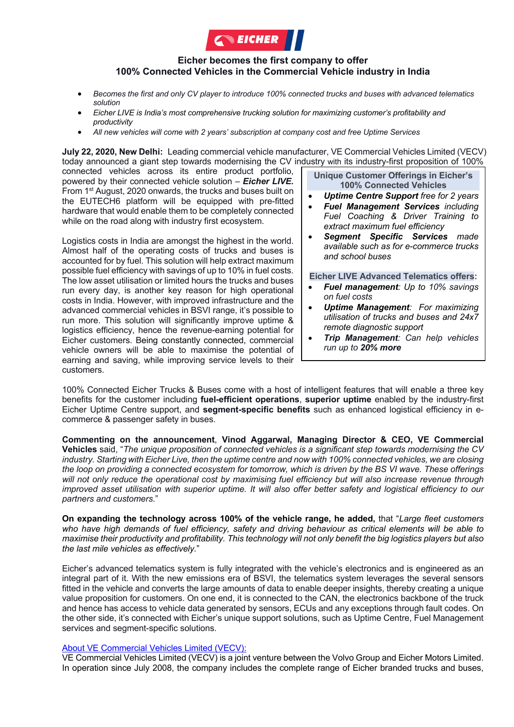

## **Eicher becomes the first company to offer 100% Connected Vehicles in the Commercial Vehicle industry in India**

- *Becomes the first and only CV player to introduce 100% connected trucks and buses with advanced telematics solution*
- *Eicher LIVE is India's most comprehensive trucking solution for maximizing customer's profitability and productivity*
- *All new vehicles will come with 2 years' subscription at company cost and free Uptime Services*

**July 22, 2020, New Delhi:** Leading commercial vehicle manufacturer, VE Commercial Vehicles Limited (VECV) today announced a giant step towards modernising the CV industry with its industry-first proposition of 100%

connected vehicles across its entire product portfolio, powered by their connected vehicle solution – *Eicher LIVE.* From 1st August, 2020 onwards, the trucks and buses built on the EUTECH6 platform will be equipped with pre-fitted hardware that would enable them to be completely connected while on the road along with industry first ecosystem.

Logistics costs in India are amongst the highest in the world. Almost half of the operating costs of trucks and buses is accounted for by fuel. This solution will help extract maximum possible fuel efficiency with savings of up to 10% in fuel costs. The low asset utilisation or limited hours the trucks and buses run every day, is another key reason for high operational costs in India. However, with improved infrastructure and the advanced commercial vehicles in BSVI range, it's possible to run more. This solution will significantly improve uptime & logistics efficiency, hence the revenue-earning potential for Eicher customers. Being constantly connected, commercial vehicle owners will be able to maximise the potential of earning and saving, while improving service levels to their customers.

**Unique Customer Offerings in Eicher's 100% Connected Vehicles**

- *Uptime Centre Support free for 2 years*
- *Fuel Management Services including Fuel Coaching & Driver Training to extract maximum fuel efficiency*
- *Segment Specific Services made available such as for e-commerce trucks and school buses*

## **Eicher LIVE Advanced Telematics offers:**

- *Fuel management: Up to 10% savings on fuel costs*
- *Uptime Management: For maximizing utilisation of trucks and buses and 24x7 remote diagnostic support*
- *Trip Management: Can help vehicles run up to 20% more*

100% Connected Eicher Trucks & Buses come with a host of intelligent features that will enable a three key benefits for the customer including **fuel-efficient operations**, **superior uptime** enabled by the industry-first Eicher Uptime Centre support, and **segment-specific benefits** such as enhanced logistical efficiency in ecommerce & passenger safety in buses.

**Commenting on the announcement**, **Vinod Aggarwal, Managing Director & CEO, VE Commercial Vehicles** said, "*The unique proposition of connected vehicles is a significant step towards modernising the CV industry. Starting with Eicher Live, then the uptime centre and now with 100% connected vehicles, we are closing the loop on providing a connected ecosystem for tomorrow, which is driven by the BS VI wave. These offerings will not only reduce the operational cost by maximising fuel efficiency but will also increase revenue through improved asset utilisation with superior uptime. It will also offer better safety and logistical efficiency to our partners and customers*."

**On expanding the technology across 100% of the vehicle range, he added,** that "*Large fleet customers who have high demands of fuel efficiency, safety and driving behaviour as critical elements will be able to maximise their productivity and profitability. This technology will not only benefit the big logistics players but also the last mile vehicles as effectively.*"

Eicher's advanced telematics system is fully integrated with the vehicle's electronics and is engineered as an integral part of it. With the new emissions era of BSVI, the telematics system leverages the several sensors fitted in the vehicle and converts the large amounts of data to enable deeper insights, thereby creating a unique value proposition for customers. On one end, it is connected to the CAN, the electronics backbone of the truck and hence has access to vehicle data generated by sensors, ECUs and any exceptions through fault codes. On the other side, it's connected with Eicher's unique support solutions, such as Uptime Centre, Fuel Management services and segment-specific solutions.

## About VE Commercial Vehicles Limited (VECV):

VE Commercial Vehicles Limited (VECV) is a joint venture between the Volvo Group and Eicher Motors Limited. In operation since July 2008, the company includes the complete range of Eicher branded trucks and buses,